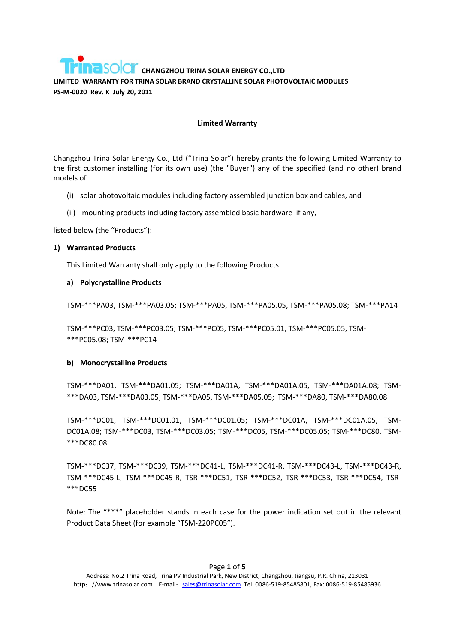#### **Limited Warranty**

Changzhou Trina Solar Energy Co., Ltd ("Trina Solar") hereby grants the following Limited Warranty to the first customer installing (for its own use) (the "Buyer") any of the specified (and no other) brand models of

- (i) solar photovoltaic modules including factory assembled junction box and cables, and
- (ii) mounting products including factory assembled basic hardware if any,

listed below (the "Products"):

### **1) Warranted Products**

This Limited Warranty shall only apply to the following Products:

### **a) Polycrystalline Products**

TSM‐\*\*\*PA03, TSM‐\*\*\*PA03.05; TSM‐\*\*\*PA05, TSM‐\*\*\*PA05.05, TSM‐\*\*\*PA05.08; TSM‐\*\*\*PA14

TSM‐\*\*\*PC03, TSM‐\*\*\*PC03.05; TSM‐\*\*\*PC05, TSM‐\*\*\*PC05.01, TSM‐\*\*\*PC05.05, TSM‐ \*\*\*PC05.08; TSM‐\*\*\*PC14

### **b) Monocrystalline Products**

TSM‐\*\*\*DA01, TSM‐\*\*\*DA01.05; TSM‐\*\*\*DA01A, TSM‐\*\*\*DA01A.05, TSM‐\*\*\*DA01A.08; TSM‐ \*\*\*DA03, TSM‐\*\*\*DA03.05; TSM‐\*\*\*DA05, TSM‐\*\*\*DA05.05; TSM‐\*\*\*DA80, TSM‐\*\*\*DA80.08

TSM‐\*\*\*DC01, TSM‐\*\*\*DC01.01, TSM‐\*\*\*DC01.05; TSM‐\*\*\*DC01A, TSM‐\*\*\*DC01A.05, TSM‐ DC01A.08; TSM‐\*\*\*DC03, TSM‐\*\*\*DC03.05; TSM‐\*\*\*DC05, TSM‐\*\*\*DC05.05; TSM‐\*\*\*DC80, TSM‐ \*\*\*DC80.08

TSM‐\*\*\*DC37, TSM‐\*\*\*DC39, TSM‐\*\*\*DC41‐L, TSM‐\*\*\*DC41‐R, TSM‐\*\*\*DC43‐L, TSM‐\*\*\*DC43‐R, TSM‐\*\*\*DC45‐L, TSM‐\*\*\*DC45‐R, TSR‐\*\*\*DC51, TSR‐\*\*\*DC52, TSR‐\*\*\*DC53, TSR‐\*\*\*DC54, TSR‐ \*\*\*DC55

Note: The "\*\*\*" placeholder stands in each case for the power indication set out in the relevant Product Data Sheet (for example "TSM‐220PC05").

### Page **1** of **5**

Address: No.2 Trina Road, Trina PV Industrial Park, New District, Changzhou, Jiangsu, P.R. China, 213031 http: //www.trinasolar.com E-mail: sales@trinasolar.com Tel: 0086-519-85485801, Fax: 0086-519-85485936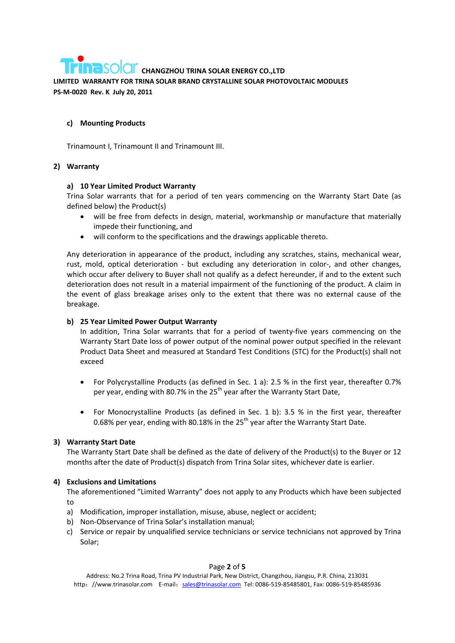## **c) Mounting Products**

Trinamount I, Trinamount II and Trinamount III.

## **2) Warranty**

## **a) 10 Year Limited Product Warranty**

Trina Solar warrants that for a period of ten years commencing on the Warranty Start Date (as defined below) the Product(s)

- will be free from defects in design, material, workmanship or manufacture that materially impede their functioning, and
- will conform to the specifications and the drawings applicable thereto.

Any deterioration in appearance of the product, including any scratches, stains, mechanical wear, rust, mold, optical deterioration - but excluding any deterioration in color-, and other changes, which occur after delivery to Buyer shall not qualify as a defect hereunder, if and to the extent such deterioration does not result in a material impairment of the functioning of the product. A claim in the event of glass breakage arises only to the extent that there was no external cause of the breakage.

## **b) 25 Year Limited Power Output Warranty**

In addition, Trina Solar warrants that for a period of twenty-five years commencing on the Warranty Start Date loss of power output of the nominal power output specified in the relevant Product Data Sheet and measured at Standard Test Conditions (STC) for the Product(s) shall not exceed

- For Polycrystalline Products (as defined in Sec. 1 a): 2.5 % in the first year, thereafter 0.7% per year, ending with 80.7% in the 25<sup>th</sup> year after the Warranty Start Date,
- For Monocrystalline Products (as defined in Sec. 1 b): 3.5 % in the first year, thereafter 0.68% per year, ending with 80.18% in the  $25<sup>th</sup>$  year after the Warranty Start Date.

## **3) Warranty Start Date**

The Warranty Start Date shall be defined as the date of delivery of the Product(s) to the Buyer or 12 months after the date of Product(s) dispatch from Trina Solar sites, whichever date is earlier.

## **4) Exclusions and Limitations**

The aforementioned "Limited Warranty" does not apply to any Products which have been subjected to

- a) Modification, improper installation, misuse, abuse, neglect or accident;
- b) Non‐Observance of Trina Solar's installation manual;
- c) Service or repair by unqualified service technicians or service technicians not approved by Trina Solar;

### Page **2** of **5**

Address: No.2 Trina Road, Trina PV Industrial Park, New District, Changzhou, Jiangsu, P.R. China, 213031 http: //www.trinasolar.com E-mail: sales@trinasolar.com Tel: 0086-519-85485801, Fax: 0086-519-85485936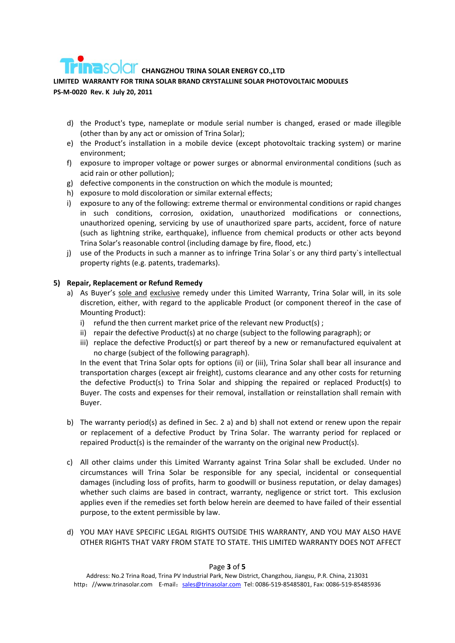- d) the Product's type, nameplate or module serial number is changed, erased or made illegible (other than by any act or omission of Trina Solar);
- e) the Product's installation in a mobile device (except photovoltaic tracking system) or marine environment;
- f) exposure to improper voltage or power surges or abnormal environmental conditions (such as acid rain or other pollution);
- g) defective components in the construction on which the module is mounted;
- h) exposure to mold discoloration or similar external effects;
- i) exposure to any of the following: extreme thermal or environmental conditions or rapid changes in such conditions, corrosion, oxidation, unauthorized modifications or connections, unauthorized opening, servicing by use of unauthorized spare parts, accident, force of nature (such as lightning strike, earthquake), influence from chemical products or other acts beyond Trina Solar's reasonable control (including damage by fire, flood, etc.)
- j) use of the Products in such a manner as to infringe Trina Solar`s or any third party`s intellectual property rights (e.g. patents, trademarks).

## **5) Repair, Replacement or Refund Remedy**

- a) As Buyer's sole and exclusive remedy under this Limited Warranty, Trina Solar will, in its sole discretion, either, with regard to the applicable Product (or component thereof in the case of Mounting Product):
	- i) refund the then current market price of the relevant new Product(s) ;
	- ii) repair the defective Product(s) at no charge (subject to the following paragraph); or
	- iii) replace the defective Product(s) or part thereof by a new or remanufactured equivalent at no charge (subject of the following paragraph).

In the event that Trina Solar opts for options (ii) or (iii), Trina Solar shall bear all insurance and transportation charges (except air freight), customs clearance and any other costs for returning the defective Product(s) to Trina Solar and shipping the repaired or replaced Product(s) to Buyer. The costs and expenses for their removal, installation or reinstallation shall remain with Buyer.

- b) The warranty period(s) as defined in Sec. 2 a) and b) shall not extend or renew upon the repair or replacement of a defective Product by Trina Solar. The warranty period for replaced or repaired Product(s) is the remainder of the warranty on the original new Product(s).
- c) All other claims under this Limited Warranty against Trina Solar shall be excluded. Under no circumstances will Trina Solar be responsible for any special, incidental or consequential damages (including loss of profits, harm to goodwill or business reputation, or delay damages) whether such claims are based in contract, warranty, negligence or strict tort. This exclusion applies even if the remedies set forth below herein are deemed to have failed of their essential purpose, to the extent permissible by law.
- d) YOU MAY HAVE SPECIFIC LEGAL RIGHTS OUTSIDE THIS WARRANTY, AND YOU MAY ALSO HAVE OTHER RIGHTS THAT VARY FROM STATE TO STATE. THIS LIMITED WARRANTY DOES NOT AFFECT

### Page **3** of **5**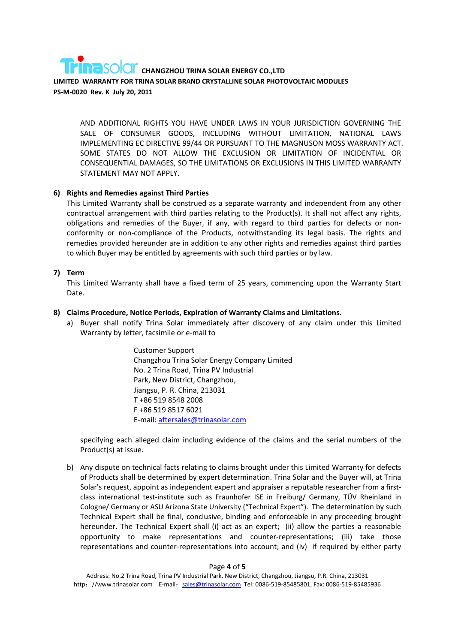AND ADDITIONAL RIGHTS YOU HAVE UNDER LAWS IN YOUR JURISDICTION GOVERNING THE SALE OF CONSUMER GOODS, INCLUDING WITHOUT LIMITATION, NATIONAL LAWS IMPLEMENTING EC DIRECTIVE 99/44 OR PURSUANT TO THE MAGNUSON MOSS WARRANTY ACT. SOME STATES DO NOT ALLOW THE EXCLUSION OR LIMITATION OF INCIDENTIAL OR CONSEQUENTIAL DAMAGES, SO THE LIMITATIONS OR EXCLUSIONS IN THIS LIMITED WARRANTY STATEMENT MAY NOT APPLY.

## **6) Rights and Remedies against Third Parties**

This Limited Warranty shall be construed as a separate warranty and independent from any other contractual arrangement with third parties relating to the Product(s). It shall not affect any rights, obligations and remedies of the Buyer, if any, with regard to third parties for defects or non‐ conformity or non‐compliance of the Products, notwithstanding its legal basis. The rights and remedies provided hereunder are in addition to any other rights and remedies against third parties to which Buyer may be entitled by agreements with such third parties or by law.

## **7) Term**

This Limited Warranty shall have a fixed term of 25 years, commencing upon the Warranty Start Date.

## **8) Claims Procedure, Notice Periods, Expiration of Warranty Claims and Limitations.**

a) Buyer shall notify Trina Solar immediately after discovery of any claim under this Limited Warranty by letter, facsimile or e‐mail to

> Customer Support Changzhou Trina Solar Energy Company Limited No. 2 Trina Road, Trina PV Industrial Park, New District, Changzhou, Jiangsu, P. R. China, 213031 T +86 519 8548 2008 F +86 519 8517 6021 E‐mail: aftersales@trinasolar.com

specifying each alleged claim including evidence of the claims and the serial numbers of the Product(s) at issue.

b) Any dispute on technical facts relating to claims brought under this Limited Warranty for defects of Products shall be determined by expert determination. Trina Solar and the Buyer will, at Trina Solar's request, appoint as independent expert and appraiser a reputable researcher from a first‐ class international test‐institute such as Fraunhofer ISE in Freiburg/ Germany, TÜV Rheinland in Cologne/ Germany or ASU Arizona State University ("Technical Expert"). The determination by such Technical Expert shall be final, conclusive, binding and enforceable in any proceeding brought hereunder. The Technical Expert shall (i) act as an expert; (ii) allow the parties a reasonable opportunity to make representations and counter‐representations; (iii) take those representations and counter-representations into account; and (iv) if required by either party

### Page **4** of **5**